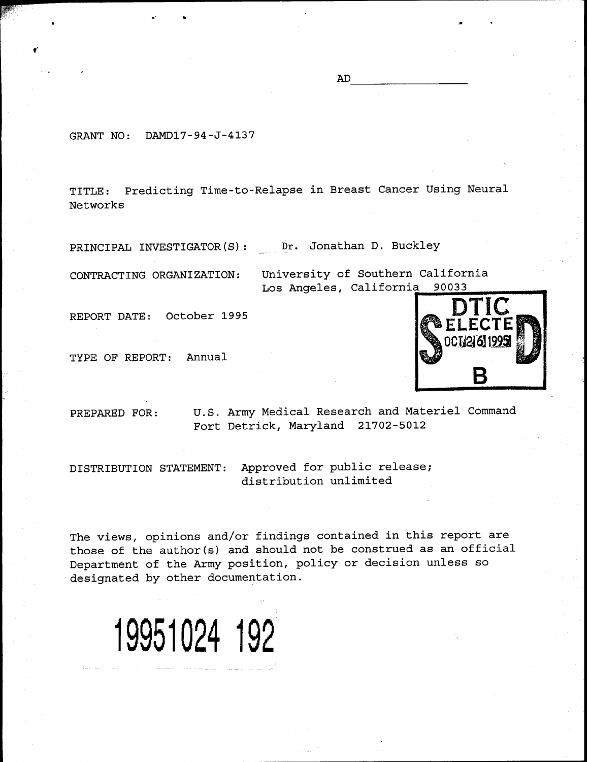AD

GRANT NO: DAMD17-94-J-4137

TITLE: Predicting Time-to-Relapse in Breast Cancer Using Neural Networks

PRINCIPAL INVESTIGATOR(S): Dr. Jonathan D. Buckley

CONTRACTING ORGANIZATION: University of Southern California Los Angeles, California 90033

REPORT DATE: October 1995

TYPE OF REPORT: Annual



PREPARED FOR: U.S. Army Medical Research and Materiel Command Fort Detrick, Maryland 21702-5012

DISTRIBUTION STATEMENT: Approved for public release; distribution unlimited

**19951024 192**

The views, opinions and/or findings contained in this report are those of the author(s) and should not be construed as an official Department of the Army position, policy or decision unless so designated by other documentation.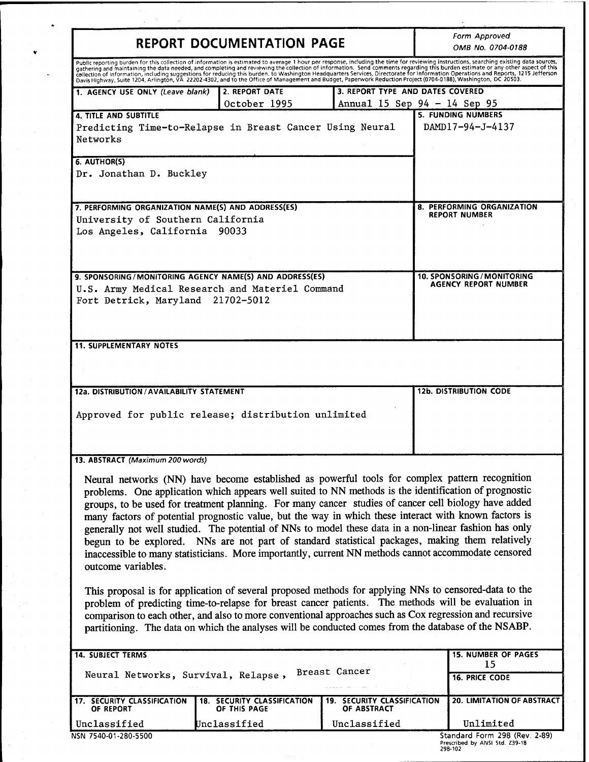|                                                                                                                                                 | <b>REPORT DOCUMENTATION PAGE</b>                                                                                                                                                                                                                                                                                                                                                                                                                                                                                                                                                                                                                                                                                                             |                                                            | Form Approved<br>OMB No. 0704-0188                                                                                                                                                                                                                                                                                                                                                                                        |
|-------------------------------------------------------------------------------------------------------------------------------------------------|----------------------------------------------------------------------------------------------------------------------------------------------------------------------------------------------------------------------------------------------------------------------------------------------------------------------------------------------------------------------------------------------------------------------------------------------------------------------------------------------------------------------------------------------------------------------------------------------------------------------------------------------------------------------------------------------------------------------------------------------|------------------------------------------------------------|---------------------------------------------------------------------------------------------------------------------------------------------------------------------------------------------------------------------------------------------------------------------------------------------------------------------------------------------------------------------------------------------------------------------------|
|                                                                                                                                                 |                                                                                                                                                                                                                                                                                                                                                                                                                                                                                                                                                                                                                                                                                                                                              |                                                            | Public reporting burden for this collection of information is estimated to average 1 hour per response, including the time for reviewing instructions, searching existing data sources,<br>contraction of information, and maintaining the data needed, and completing and reviewing the collection of information. Send comments regarding this burden estimate or any other aspect of this cellection of information. S |
| 1. AGENCY USE ONLY (Leave blank)                                                                                                                | 2. REPORT DATE                                                                                                                                                                                                                                                                                                                                                                                                                                                                                                                                                                                                                                                                                                                               | 3. REPORT TYPE AND DATES COVERED                           |                                                                                                                                                                                                                                                                                                                                                                                                                           |
|                                                                                                                                                 | October 1995                                                                                                                                                                                                                                                                                                                                                                                                                                                                                                                                                                                                                                                                                                                                 | Annual 15 Sep 94 - 14 Sep 95                               |                                                                                                                                                                                                                                                                                                                                                                                                                           |
| <b>4. TITLE AND SUBTITLE</b><br>Predicting Time-to-Relapse in Breast Cancer Using Neural<br>Networks                                            |                                                                                                                                                                                                                                                                                                                                                                                                                                                                                                                                                                                                                                                                                                                                              |                                                            | 5. FUNDING NUMBERS<br>DAMD17-94-J-4137                                                                                                                                                                                                                                                                                                                                                                                    |
| 6. AUTHOR(S)<br>Dr. Jonathan D. Buckley                                                                                                         |                                                                                                                                                                                                                                                                                                                                                                                                                                                                                                                                                                                                                                                                                                                                              |                                                            |                                                                                                                                                                                                                                                                                                                                                                                                                           |
| 7. PERFORMING ORGANIZATION NAME(S) AND ADDRESS(ES)<br>University of Southern California<br>Los Angeles, California 90033                        |                                                                                                                                                                                                                                                                                                                                                                                                                                                                                                                                                                                                                                                                                                                                              | 8. PERFORMING ORGANIZATION<br><b>REPORT NUMBER</b>         |                                                                                                                                                                                                                                                                                                                                                                                                                           |
| 9. SPONSORING/MONITORING AGENCY NAME(S) AND ADDRESS(ES)<br>U.S. Army Medical Research and Materiel Command<br>Fort Detrick, Maryland 21702-5012 |                                                                                                                                                                                                                                                                                                                                                                                                                                                                                                                                                                                                                                                                                                                                              | 10. SPONSORING / MONITORING<br><b>AGENCY REPORT NUMBER</b> |                                                                                                                                                                                                                                                                                                                                                                                                                           |
| <b>11. SUPPLEMENTARY NOTES</b>                                                                                                                  |                                                                                                                                                                                                                                                                                                                                                                                                                                                                                                                                                                                                                                                                                                                                              |                                                            |                                                                                                                                                                                                                                                                                                                                                                                                                           |
|                                                                                                                                                 |                                                                                                                                                                                                                                                                                                                                                                                                                                                                                                                                                                                                                                                                                                                                              |                                                            |                                                                                                                                                                                                                                                                                                                                                                                                                           |
| 12a. DISTRIBUTION / AVAILABILITY STATEMENT                                                                                                      |                                                                                                                                                                                                                                                                                                                                                                                                                                                                                                                                                                                                                                                                                                                                              |                                                            | <b>12b. DISTRIBUTION CODE</b>                                                                                                                                                                                                                                                                                                                                                                                             |
| Approved for public release; distribution unlimited                                                                                             |                                                                                                                                                                                                                                                                                                                                                                                                                                                                                                                                                                                                                                                                                                                                              |                                                            |                                                                                                                                                                                                                                                                                                                                                                                                                           |
| 13. ABSTRACT (Maximum 200 words)                                                                                                                |                                                                                                                                                                                                                                                                                                                                                                                                                                                                                                                                                                                                                                                                                                                                              |                                                            |                                                                                                                                                                                                                                                                                                                                                                                                                           |
| outcome variables.                                                                                                                              | Neural networks (NN) have become established as powerful tools for complex pattern recognition<br>problems. One application which appears well suited to NN methods is the identification of prognostic<br>groups, to be used for treatment planning. For many cancer studies of cancer cell biology have added<br>many factors of potential prognostic value, but the way in which these interact with known factors is<br>generally not well studied. The potential of NNs to model these data in a non-linear fashion has only<br>begun to be explored. NNs are not part of standard statistical packages, making them relatively<br>inaccessible to many statisticians. More importantly, current NN methods cannot accommodate censored |                                                            |                                                                                                                                                                                                                                                                                                                                                                                                                           |
|                                                                                                                                                 | This proposal is for application of several proposed methods for applying NNs to censored-data to the<br>problem of predicting time-to-relapse for breast cancer patients. The methods will be evaluation in<br>comparison to each other, and also to more conventional approaches such as Cox regression and recursive<br>partitioning. The data on which the analyses will be conducted comes from the database of the NSABP.                                                                                                                                                                                                                                                                                                              |                                                            |                                                                                                                                                                                                                                                                                                                                                                                                                           |
| <b>14. SUBJECT TERMS</b><br>Neural Networks, Survival, Relapse,                                                                                 |                                                                                                                                                                                                                                                                                                                                                                                                                                                                                                                                                                                                                                                                                                                                              | Breast Cancer                                              | <b>15. NUMBER OF PAGES</b><br>15<br><b>16. PRICE CODE</b>                                                                                                                                                                                                                                                                                                                                                                 |
| 17. SECURITY CLASSIFICATION<br>OF REPORT                                                                                                        | <b>18. SECURITY CLASSIFICATION</b><br>OF THIS PAGE                                                                                                                                                                                                                                                                                                                                                                                                                                                                                                                                                                                                                                                                                           | <b>19. SECURITY CLASSIFICATION</b><br>OF ABSTRACT          | <b>20. LIMITATION OF ABSTRACT</b>                                                                                                                                                                                                                                                                                                                                                                                         |
| Unclassified                                                                                                                                    | Unclassified                                                                                                                                                                                                                                                                                                                                                                                                                                                                                                                                                                                                                                                                                                                                 | Unclassified                                               | Unlimited                                                                                                                                                                                                                                                                                                                                                                                                                 |

Unclassified<br>NSN 7540-01-280-5500

 $\bar{\beta}$ 

**NSN 7540-01-280-5500 Standard Form 298 (Rev. 2-89)** Prescribed by ANSI Std. Z39-18 298-102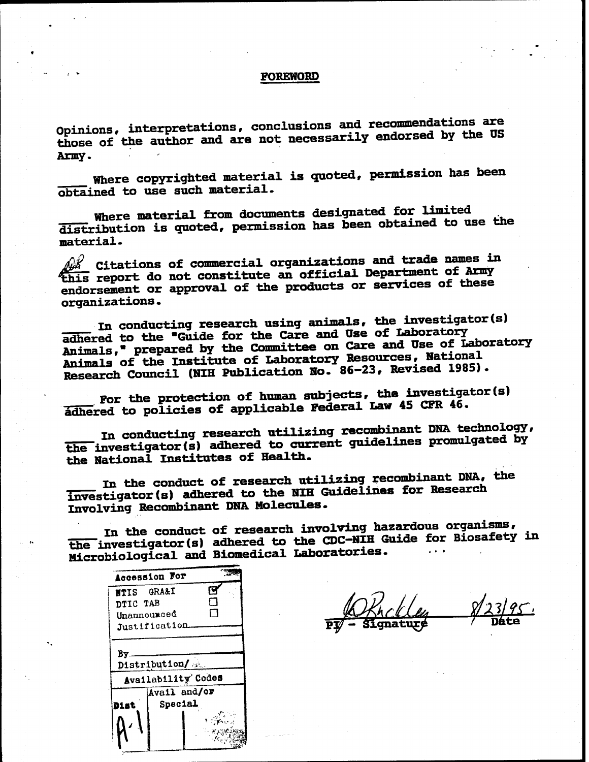#### **FOREWORD**

Opinions, interpretations, conclusions and recommendations are those of the author and are not necessarily endorsed by the US Army.

Where copyrighted material is quoted, permission has been obtained to use such material-

Where material from documents designated for limited distribution is quoted, permission has been obtained to use the material.

 $\mathscr{Q}\!\!\mathscr{A}$  Citations of commercial organizations and trade names in this report do not constitute an official Department of Army endorsement or approval of the products or services of these organizations.

In conducting research using animals, the investigator(s) adhered to the "Guide for the Care and Use of Laboratory vestigator(s)<br>oratory<br>se of Laboratory Animals," prepared by the Committee on Care and Use of Laboratory Animals of the Institute of Laboratory Resources, National Research Council (NIH Publication No. 86-23, Revised 1985).

For the protection of human subjects, the investigator(s) adhered to policies of applicable Federal Law 45 CFR 46.

in conducting research utilizing recombinant DNA technology, the investigator(s) adhered to current guidelines promulgated by the National Institutes of Health.

in the conduct of research utilizing recombinant DNA, the investigator (s) adhered to the HIH Guidelines for Research Involving Recombinant DNA Molecules.

In the conduct of research involving hazardous organisms, the investigator(s) adhered to the CDC-NIH Guide for Biosafety in Microbiological and Biomedical Laboratories.

| Accession For         |               |
|-----------------------|---------------|
| <b>NTIS GRA&amp;I</b> |               |
| DTIC TAB              |               |
| Unannouxced           |               |
| Justification.        |               |
|                       |               |
|                       |               |
|                       |               |
| Availability Codes    |               |
| Avail and/or          |               |
| Special               |               |
|                       |               |
|                       |               |
|                       |               |
|                       |               |
|                       | Distribution/ |

nclley \$23/95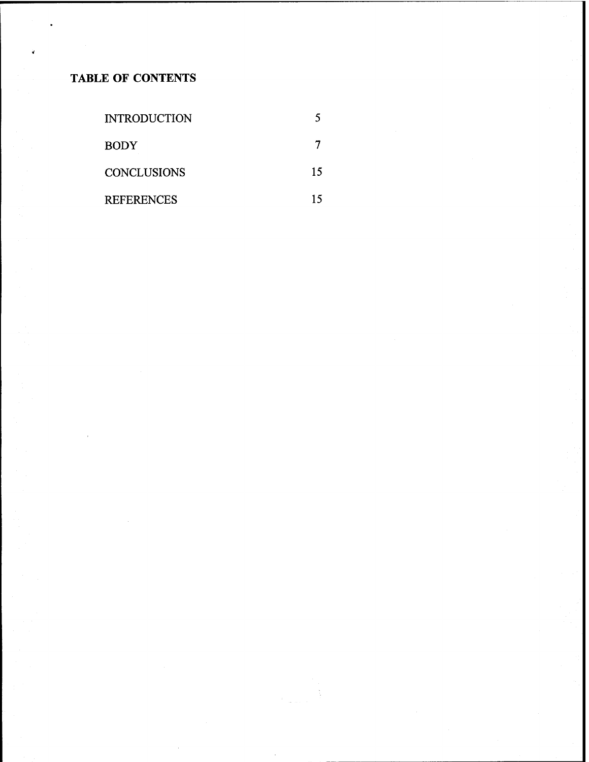# **TABLE OF CONTENTS**

| <b>INTRODUCTION</b> |    |
|---------------------|----|
| <b>BODY</b>         | 7  |
| <b>CONCLUSIONS</b>  | 15 |
| <b>REFERENCES</b>   | 15 |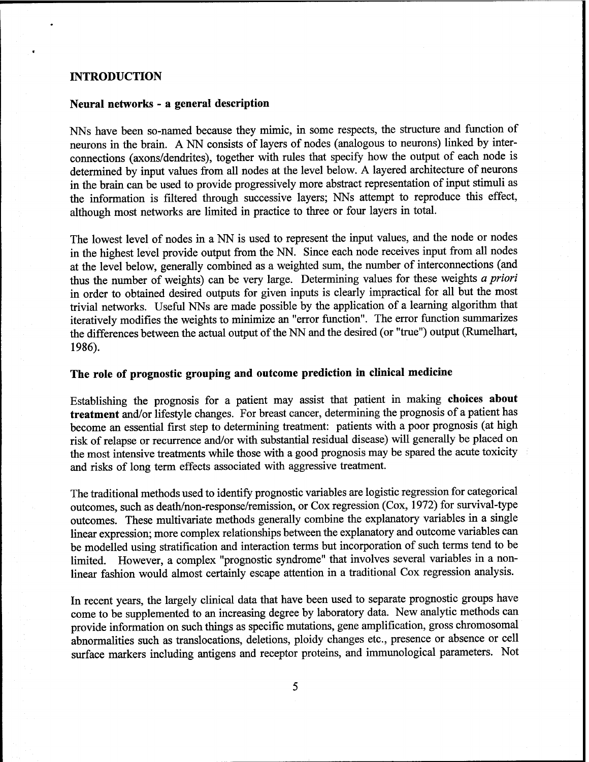# **INTRODUCTION**

### **Neural networks** - **a general description**

NNs have been so-named because they mimic, in some respects, the structure and function of neurons in the brain. A NN consists of layers of nodes (analogous to neurons) linked by interconnections (axons/dendrites), together with rules that specify how the output of each node is determined by input values from all nodes at the level below. A layered architecture of neurons in the brain can be used to provide progressively more abstract representation of input stimuli as the information is filtered through successive layers; NNs attempt to reproduce this effect, although most networks are limited in practice to three or four layers in total.

The lowest level of nodes in a NN is used to represent the input values, and the node or nodes in the highest level provide output from the NN. Since each node receives input from all nodes at the level below, generally combined as a weighted sum, the number of interconnections (and thus the number of weights) can be very large. Determining values for these weights *a priori* in order to obtained desired outputs for given inputs is clearly impractical for all but the most trivial networks. Useful NNs are made possible by the application of a learning algorithm that iteratively modifies the weights to minimize an "error function". The error function summarizes the differences between the actual output of the NN and the desired (or "true") output (Rumelhart, 1986).

# **The role of prognostic grouping and outcome prediction in clinical medicine**

Establishing the prognosis for a patient may assist that patient in making **choices about treatment** and/or lifestyle changes. For breast cancer, determining the prognosis of a patient has become an essential first step to determining treatment: patients with a poor prognosis (at high risk of relapse or recurrence and/or with substantial residual disease) will generally be placed on the most intensive treatments while those with a good prognosis may be spared the acute toxicity and risks of long term effects associated with aggressive treatment.

The traditional methods used to identify prognostic variables are logistic regression for categorical outcomes, such as death/non-response/remission, or Cox regression (Cox, 1972) for survival-type outcomes. These multivariate methods generally combine the explanatory variables in a single linear expression; more complex relationships between the explanatory and outcome variables can be modelled using stratification and interaction terms but incorporation of such terms tend to be limited. However, a complex "prognostic syndrome" that involves several variables in a nonlinear fashion would almost certainly escape attention in a traditional Cox regression analysis.

In recent years, the largely clinical data that have been used to separate prognostic groups have come to be supplemented to an increasing degree by laboratory data. New analytic methods can provide information on such things as specific mutations, gene amplification, gross chromosomal abnormalities such as translocations, deletions, ploidy changes etc., presence or absence or cell surface markers including antigens and receptor proteins, and immunological parameters. Not

5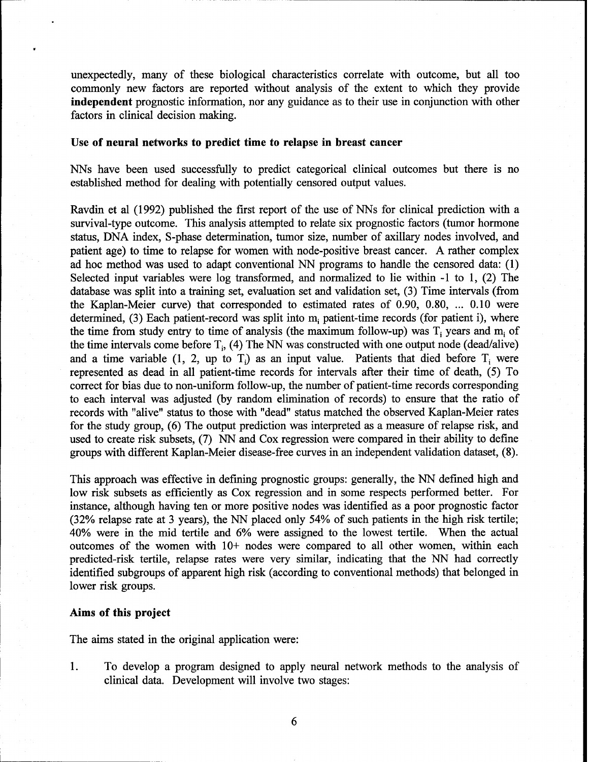unexpectedly, many of these biological characteristics correlate with outcome, but all too commonly new factors are reported without analysis of the extent to which they provide **independent** prognostic information, nor any guidance as to their use in conjunction with other factors in clinical decision making.

### **Use of neural networks to predict time to relapse in breast cancer**

NNs have been used successfully to predict categorical clinical outcomes but there is no established method for dealing with potentially censored output values.

Ravdin et al (1992) published the first report of the use of NNs for clinical prediction with a survival-type outcome. This analysis attempted to relate six prognostic factors (tumor hormone status, DNA index, S-phase determination, tumor size, number of axillary nodes involved, and patient age) to time to relapse for women with node-positive breast cancer. A rather complex ad hoc method was used to adapt conventional NN programs to handle the censored data: (1) Selected input variables were log transformed, and normalized to lie within -1 to 1, (2) The database was split into a training set, evaluation set and validation set, (3) Time intervals (from the Kaplan-Meier curve) that corresponded to estimated rates of 0.90, 0.80, ... 0.10 were determined, (3) Each patient-record was split into m; patient-time records (for patient i), where the time from study entry to time of analysis (the maximum follow-up) was  $T_i$  years and  $m_i$  of the time intervals come before  $T_i$ , (4) The NN was constructed with one output node (dead/alive) and a time variable (1, 2, up to  $T_i$ ) as an input value. Patients that died before  $T_i$  were represented as dead in all patient-time records for intervals after their time of death, (5) To correct for bias due to non-uniform follow-up, the number of patient-time records corresponding to each interval was adjusted (by random elimination of records) to ensure that the ratio of records with "alive" status to those with "dead" status matched the observed Kaplan-Meier rates for the study group, (6) The output prediction was interpreted as a measure of relapse risk, and used to create risk subsets, (7) NN and Cox regression were compared in their ability to define groups with different Kaplan-Meier disease-free curves in an independent validation dataset, (8).

This approach was effective in defining prognostic groups: generally, the NN defined high and low risk subsets as efficiently as Cox regression and in some respects performed better. For instance, although having ten or more positive nodes was identified as a poor prognostic factor (32% relapse rate at 3 years), the NN placed only 54% of such patients in the high risk fertile; 40% were in the mid fertile and 6% were assigned to the lowest tertile. When the actual outcomes of the women with 10+ nodes were compared to all other women, within each predicted-risk tertile, relapse rates were very similar, indicating that the NN had correctly identified subgroups of apparent high risk (according to conventional methods) that belonged in lower risk groups.

### **Aims of this project**

The aims stated in the original application were:

1. To develop a program designed to apply neural network methods to the analysis of clinical data. Development will involve two stages: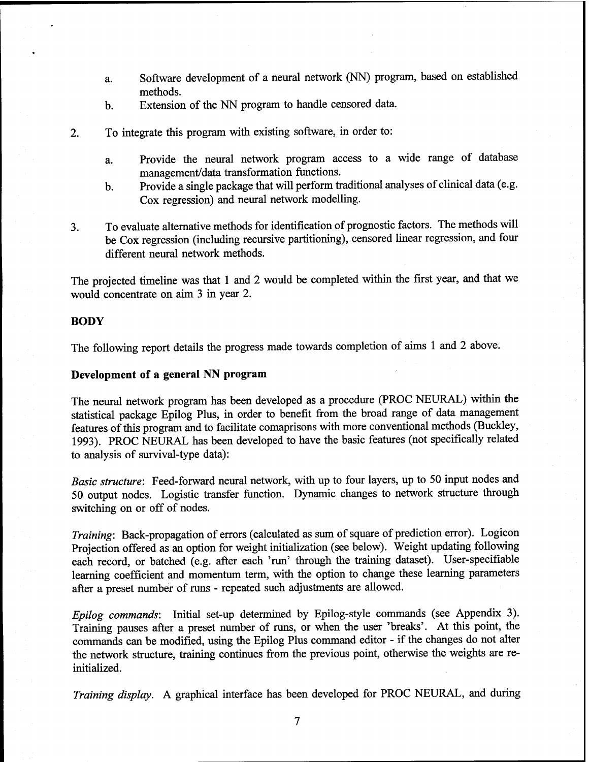- a. Software development of a neural network (NN) program, based on established methods.
- b. Extension of the NN program to handle censored data.
- 2. To integrate this program with existing software, in order to:
	- a. Provide the neural network program access to a wide range of database management/data transformation functions.
	- b. Provide a single package that will perform traditional analyses of clinical data (e.g. Cox regression) and neural network modelling.
- 3. To evaluate alternative methods for identification of prognostic factors. The methods will be Cox regression (including recursive partitioning), censored linear regression, and four different neural network methods.

The projected timeline was that <sup>1</sup> and 2 would be completed within the first year, and that we would concentrate on aim 3 in year 2.

# **BODY**

The following report details the progress made towards completion of aims <sup>1</sup> and 2 above.

## **Development of a general NN program**

The neural network program has been developed as a procedure (PROC NEURAL) within the statistical package Epilog Plus, in order to benefit from the broad range of data management features of this program and to facilitate comaprisons with more conventional methods (Buckley, 1993). PROC NEURAL has been developed to have the basic features (not specifically related to analysis of survival-type data):

*Basic structure:* Feed-forward neural network, with up to four layers, up to 50 input nodes and 50 output nodes. Logistic transfer function. Dynamic changes to network structure through switching on or off of nodes.

*Training*: Back-propagation of errors (calculated as sum of square of prediction error). Logicon Projection offered as an option for weight initialization (see below). Weight updating following each record, or batched (e.g. after each 'run' through the training dataset). User-specifiable learning coefficient and momentum term, with the option to change these learning parameters after a preset number of runs - repeated such adjustments are allowed.

*Epilog commands:* Initial set-up determined by Epilog-style commands (see Appendix 3). Training pauses after a preset number of runs, or when the user 'breaks'. At this point, the commands can be modified, using the Epilog Plus command editor - if the changes do not alter the network structure, training continues from the previous point, otherwise the weights are reinitialized.

*Training display.* A graphical interface has been developed for PROC NEURAL, and during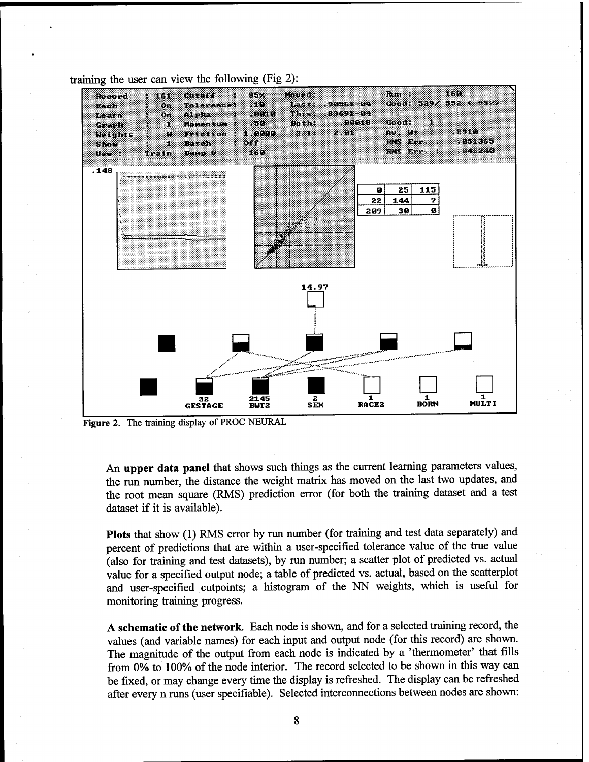

training the user can view the following (Fig 2):

Figure 2. The training display of PROC NEURAL

**An upper data panel** that shows such things as the current learning parameters values, the run number, the distance the weight matrix has moved on the last two updates, and the root mean square (RMS) prediction error (for both the training dataset and a test dataset if it is available).

**Plots** that show (1) RMS error by run number (for training and test data separately) and percent of predictions that are within a user-specified tolerance value of the true value (also for training and test datasets), by run number; a scatter plot of predicted vs. actual value for a specified output node; a table of predicted vs. actual, based on the scatterplot and user-specified cutpoints; a histogram of the NN weights, which is useful for monitoring training progress.

**A schematic of the network.** Each node is shown, and for a selected training record, the values (and variable names) for each input and output node (for this record) are shown. The magnitude of the output from each node is indicated by a 'thermometer' that fills from 0% to 100% of the node interior. The record selected to be shown in this way can be fixed, or may change every time the display is refreshed. The display can be refreshed after every n runs (user specifiable). Selected interconnections between nodes are shown: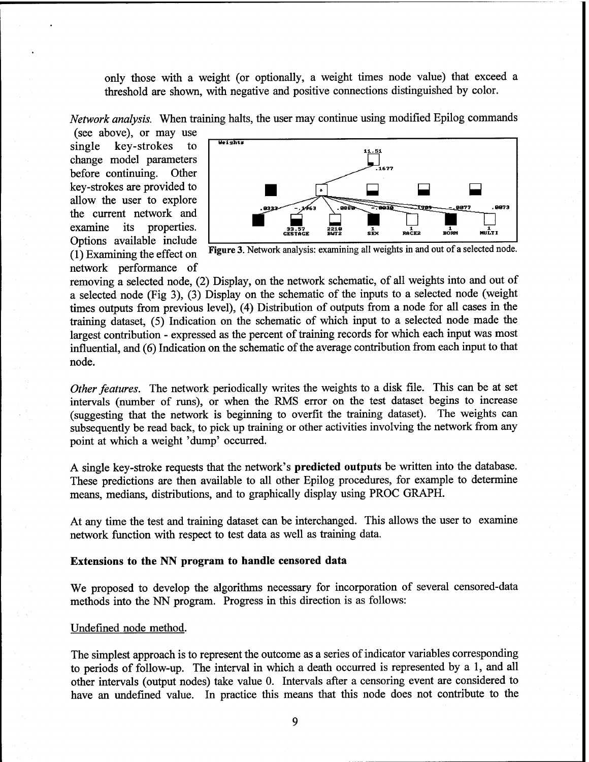only those with a weight (or optionally, a weight times node value) that exceed a threshold are shown, with negative and positive connections distinguished by color.

*Network analysis.* When training halts, the user may continue using modified Epilog commands

(see above), or may use single key-strokes to change model parameters before continuing. Other key-strokes are provided to allow the user to explore the current network and examine its properties. Options available include (1) Examining the effect on network performance of



Figure 3. Network analysis: examining all weights in and out of a selected node.

removing a selected node, (2) Display, on the network schematic, of all weights into and out of a selected node (Fig 3), (3) Display on the schematic of the inputs to a selected node (weight times outputs from previous level), (4) Distribution of outputs from a node for all cases in the training dataset, (5) Indication on the schematic of which input to a selected node made the largest contribution - expressed as the percent of training records for which each input was most influential, and (6) Indication on the schematic of the average contribution from each input to that node.

*Other features.* The network periodically writes the weights to a disk file. This can be at set intervals (number of runs), or when the RMS error on the test dataset begins to increase (suggesting that the network is beginning to overfit the training dataset). The weights can subsequently be read back, to pick up training or other activities involving the network from any point at which a weight 'dump' occurred.

A single key-stroke requests that the network's **predicted outputs** be written into the database. These predictions are then available to all other Epilog procedures, for example to determine means, medians, distributions, and to graphically display using PROC GRAPH.

At any time the test and training dataset can be interchanged. This allows the user to examine network function with respect to test data as well as training data.

### **Extensions to the NN program to handle censored data**

We proposed to develop the algorithms necessary for incorporation of several censored-data methods into the NN program. Progress in this direction is as follows:

#### Undefined node method.

The simplest approach is to represent the outcome as a series of indicator variables corresponding to periods of follow-up. The interval in which a death occurred is represented by a 1, and all other intervals (output nodes) take value 0. Intervals after a censoring event are considered to have an undefined value. In practice this means that this node does not contribute to the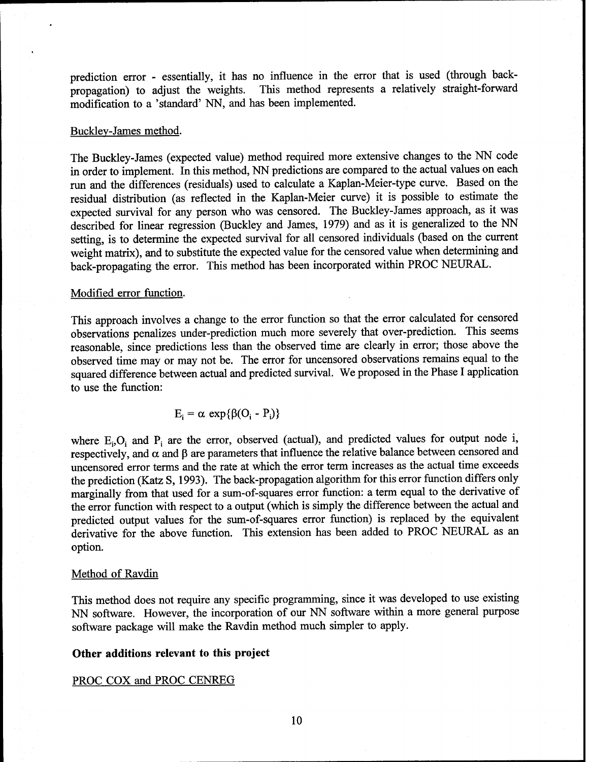prediction error - essentially, it has no influence in the error that is used (through backpropagation) to adjust the weights. This method represents a relatively straight-forward modification to a 'standard' NN, and has been implemented.

### Buckley-James method.

The Buckley-James (expected value) method required more extensive changes to the NN code in order to implement. In this method, NN predictions are compared to the actual values on each run and the differences (residuals) used to calculate a Kaplan-Meier-type curve. Based on the residual distribution (as reflected in the Kaplan-Meier curve) it is possible to estimate the expected survival for any person who was censored. The Buckley-James approach, as it was described for linear regression (Buckley and James, 1979) and as it is generalized to the NN setting, is to determine the expected survival for all censored individuals (based on the current weight matrix), and to substitute the expected value for the censored value when determining and back-propagating the error. This method has been incorporated within PROC NEURAL.

## Modified error function.

This approach involves a change to the error function so that the error calculated for censored observations penalizes under-prediction much more severely that over-prediction. This seems reasonable, since predictions less than the observed time are clearly in error; those above the observed time may or may not be. The error for uncensored observations remains equal to the squared difference between actual and predicted survival. We proposed in the Phase I application to use the function:

$$
E_i = \alpha \, \exp\{\beta(O_i - P_i)\}
$$

where  $E_i$ , $O_i$  and  $P_i$  are the error, observed (actual), and predicted values for output node i, respectively, and  $\alpha$  and  $\beta$  are parameters that influence the relative balance between censored and uncensored error terms and the rate at which the error term increases as the actual time exceeds the prediction (Katz S, 1993). The back-propagation algorithm for this error function differs only marginally from that used for a sum-of-squares error function: a term equal to the derivative of the error function with respect to a output (which is simply the difference between the actual and predicted output values for the sum-of-squares error function) is replaced by the equivalent derivative for the above function. This extension has been added to PROC NEURAL as an option.

# Method of Ravdin

This method does not require any specific programming, since it was developed to use existing NN software. However, the incorporation of our NN software within a more general purpose software package will make the Ravdin method much simpler to apply.

# **Other additions relevant to this project**

### PROC COX and PROC CENREG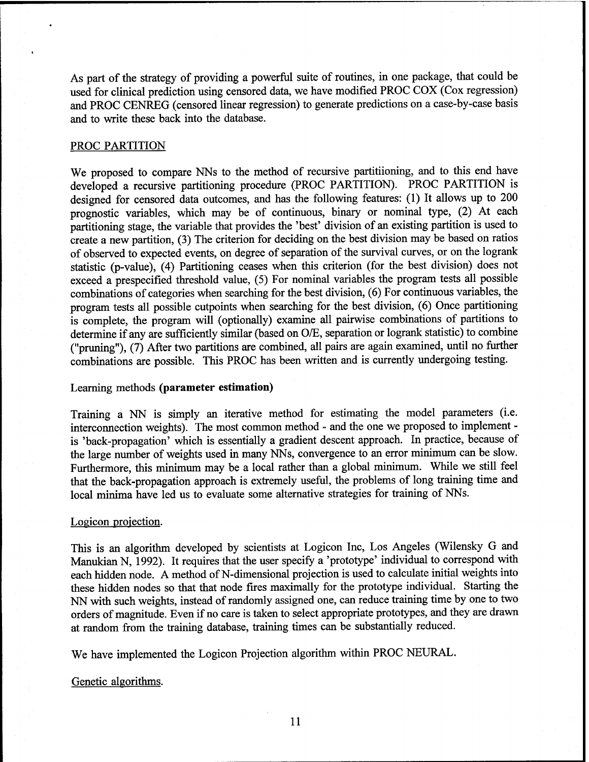As part of the strategy of providing a powerful suite of routines, in one package, that could be used for clinical prediction using censored data, we have modified PROC COX (Cox regression) and PROC CENREG (censored linear regression) to generate predictions on a case-by-case basis and to write these back into the database.

# PROC PARTITION

We proposed to compare NNs to the method of recursive partitiioning, and to this end have developed a recursive partitioning procedure (PROC PARTITION). PROC PARTITION is designed for censored data outcomes, and has the following features: (1) It allows up to 200 prognostic variables, which may be of continuous, binary or nominal type, (2) At each partitioning stage, the variable that provides the 'best' division of an existing partition is used to create a new partition, (3) The criterion for deciding on the best division may be based on ratios of observed to expected events, on degree of separation of the survival curves, or on the logrank statistic (p-value), (4) Partitioning ceases when this criterion (for the best division) does not exceed a prespecified threshold value, (5) For nominal variables the program tests all possible combinations of categories when searching for the best division, (6) For continuous variables, the program tests all possible cutpoints when searching for the best division, (6) Once partitioning is complete, the program will (optionally) examine all pairwise combinations of partitions to determine if any are sufficiently similar (based on O/E, separation or logrank statistic) to combine ("pruning"), (7) After two partitions are combined, all pairs are again examined, until no further combinations are possible. This PROC has been written and is currently undergoing testing.

# Learning methods **(parameter estimation)**

Training a NN is simply an iterative method for estimating the model parameters (i.e. interconnection weights). The most common method - and the one we proposed to implement is 'back-propagation' which is essentially a gradient descent approach. In practice, because of the large number of weights used in many NNs, convergence to an error minimum can be slow. Furthermore, this minimum may be a local rather than a global minimum. While we still feel that the back-propagation approach is extremely useful, the problems of long training time and local minima have led us to evaluate some alternative strategies for training of NNs.

# Logicon projection.

This is an algorithm developed by scientists at Logicon Inc, Los Angeles (Wilensky G and Manukian N, 1992). It requires that the user specify a 'prototype' individual to correspond with each hidden node. A method of N-dimensional projection is used to calculate initial weights into these hidden nodes so that that node fires maximally for the prototype individual. Starting the NN with such weights, instead of randomly assigned one, can reduce training time by one to two orders of magnitude. Even if no care is taken to select appropriate prototypes, and they are drawn at random from the training database, training times can be substantially reduced.

We have implemented the Logicon Projection algorithm within PROC NEURAL.

# Genetic algorithms.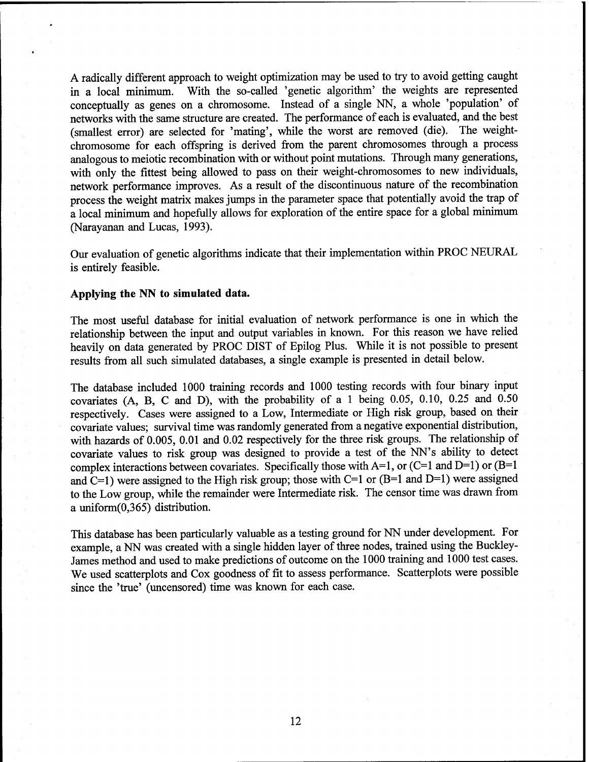A radically different approach to weight optimization may be used to try to avoid getting caught in a local minimum. With the so-called 'genetic algorithm' the weights are represented conceptually as genes on a chromosome. Instead of a single NN, a whole 'population' of networks with the same structure are created. The performance of each is evaluated, and the best (smallest error) are selected for 'mating', while the worst are removed (die). The weightchromosome for each offspring is derived from the parent chromosomes through a process analogous to meiotic recombination with or without point mutations. Through many generations, with only the fittest being allowed to pass on their weight-chromosomes to new individuals, network performance improves. As a result of the discontinuous nature of the recombination process the weight matrix makes jumps in the parameter space that potentially avoid the trap of a local minimum and hopefully allows for exploration of the entire space for a global minimum (Narayanan and Lucas, 1993).

Our evaluation of genetic algorithms indicate that their implementation within PROC NEURAL is entirely feasible.

# **Applying the NN to simulated data.**

The most useful database for initial evaluation of network performance is one in which the relationship between the input and output variables in known. For this reason we have relied heavily on data generated by PROC DIST of Epilog Plus. While it is not possible to present results from all such simulated databases, a single example is presented in detail below.

The database included 1000 training records and 1000 testing records with four binary input covariates (A, B, C and D), with the probability of a <sup>1</sup> being 0.05, 0.10, 0.25 and 0.50 respectively. Cases were assigned to a Low, Intermediate or High risk group, based on their covariate values; survival time was randomly generated from a negative exponential distribution, with hazards of 0.005, 0.01 and 0.02 respectively for the three risk groups. The relationship of covariate values to risk group was designed to provide a test of the NN's ability to detect complex interactions between covariates. Specifically those with  $A=1$ , or (C=1 and D=1) or (B=1) and  $C=1$ ) were assigned to the High risk group; those with  $C=1$  or  $(B=1$  and  $D=1$ ) were assigned to the Low group, while the remainder were Intermediate risk. The censor time was drawn from a uniform(0,365) distribution.

This database has been particularly valuable as a testing ground for NN under development. For example, a NN was created with a single hidden layer of three nodes, trained using the Buckley-James method and used to make predictions of outcome on the 1000 training and 1000 test cases. We used scatterplots and Cox goodness of fit to assess performance. Scatterplots were possible since the 'true' (uncensored) time was known for each case.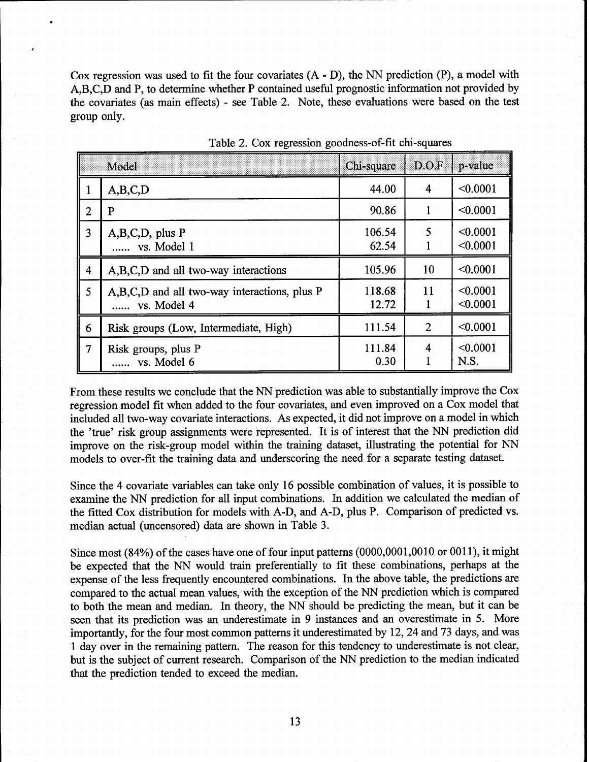Cox regression was used to fit the four covariates (A - D), the NN prediction (P), a model with A,B,C,D and P, to determine whether P contained useful prognostic information not provided by the covariates (as main effects) - see Table 2. Note, these evaluations were based on the test group only.

|                | <b>Model</b>                                                | Chi-square      | D.O.F          | p-value              |
|----------------|-------------------------------------------------------------|-----------------|----------------|----------------------|
|                | A,B,C,D                                                     | 44.00           | 4              | < 0.0001             |
| $\overline{2}$ | $\mathbf{P}$                                                | 90.86           | 1              | < 0.0001             |
| 3              | $A,B,C,D,$ plus P<br>vs. Model 1                            | 106.54<br>62.54 | 5              | < 0.0001<br>< 0.0001 |
| 4              | A, B, C, D and all two-way interactions                     | 105.96          | 10             | < 0.0001             |
| 5              | A,B,C,D and all two-way interactions, plus P<br>vs. Model 4 | 118.68<br>12.72 | 11             | < 0.0001<br>< 0.0001 |
| 6              | Risk groups (Low, Intermediate, High)                       | 111.54          | $\overline{2}$ | < 0.0001             |
| 7              | Risk groups, plus P<br>vs. Model 6                          | 111.84<br>0.30  | 4              | < 0.0001<br>N.S.     |

Table 2. Cox regression goodness-of-fit chi-squares

From these results we conclude that the NN prediction was able to substantially improve the Cox regression model fit when added to the four covariates, and even improved on a Cox model that included all two-way covariate interactions. As expected, it did not improve on a model in which the 'true' risk group assignments were represented. It is of interest that the NN prediction did improve on the risk-group model within the training dataset, illustrating the potential for NN models to over-fit the training data and underscoring the need for a separate testing dataset.

Since the 4 covariate variables can take only 16 possible combination of values, it is possible to examine the NN prediction for all input combinations. In addition we calculated the median of the fitted Cox distribution for models with A-D, and A-D, plus P. Comparison of predicted vs. median actual (uncensored) data are shown in Table 3.

Since most  $(84%)$  of the cases have one of four input patterns  $(0000,0001,0010)$  or  $(0011)$ , it might be expected that the NN would train preferentially to fit these combinations, perhaps at the expense of the less frequently encountered combinations. In the above table, the predictions are compared to the actual mean values, with the exception of the NN prediction which is compared to both the mean and median. In theory, the NN should be predicting the mean, but it can be seen that its prediction was an underestimate in 9 instances and an overestimate in 5. More importantly, for the four most common patterns it underestimated by 12, 24 and 73 days, and was <sup>1</sup> day over in the remaining pattern. The reason for this tendency to underestimate is not clear, but is the subject of current research. Comparison of the NN prediction to the median indicated that the prediction tended to exceed the median.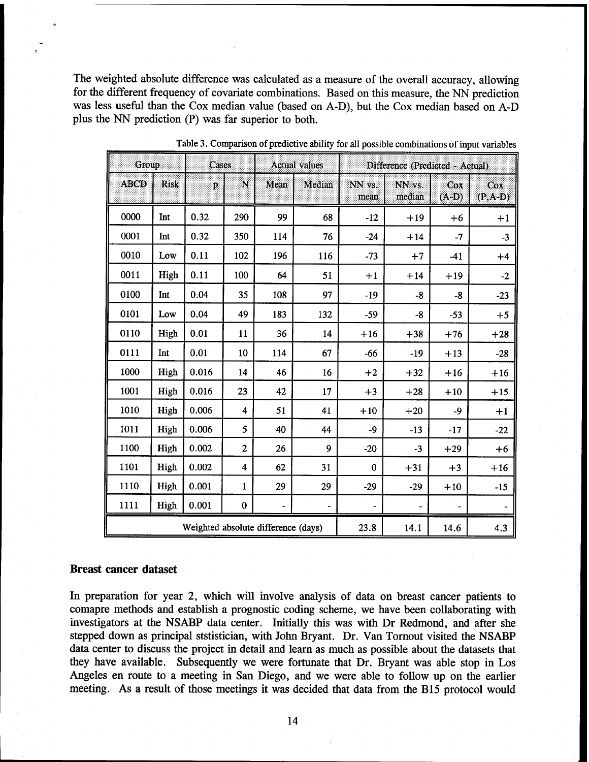The weighted absolute difference was calculated as a measure of the overall accuracy, allowing for the different frequency of covariate combinations. Based on this measure, the NN prediction was less useful than the Cox median value (based on A-D), but the Cox median based on A-D plus the NN prediction (P) was far superior to both.

| Group                               |             |              | Cases<br><b>Actual values</b> |                              | Difference (Predicted - Actual) |                |                  |                |                   |
|-------------------------------------|-------------|--------------|-------------------------------|------------------------------|---------------------------------|----------------|------------------|----------------|-------------------|
| <b>ABCD</b>                         | <b>Risk</b> | $\mathbf{p}$ | N                             | Mean                         | Median                          | NN vs.<br>mean | NN vs.<br>median | Cox<br>$(A-D)$ | Cox<br>$(P, A-D)$ |
| 0000                                | Int         | 0.32         | 290                           | 99                           | 68                              | $-12$          | $+19$            | $+6$           | $+1$              |
| 0001                                | Int         | 0.32         | 350                           | 114                          | 76                              | $-24$          | $+14$            | $-7$           | $-3$              |
| 0010                                | Low         | 0.11         | 102                           | 196                          | 116                             | $-73$          | $+7$             | $-41$          | $+4$              |
| 0011                                | High        | 0.11         | 100                           | 64                           | 51                              | $+1$           | $+14$            | $+19$          | $-2$              |
| 0100                                | Int         | 0.04         | 35                            | 108                          | 97                              | $-19$          | $-8$             | $-8$           | $-23$             |
| 0101                                | Low         | 0.04         | 49                            | 183                          | 132                             | $-59$          | -8               | $-53$          | $+5$              |
| 0110                                | High        | 0.01         | 11                            | 36                           | 14                              | $+16$          | $+38$            | $+76$          | $+28$             |
| 0111                                | Int         | 0.01         | 10                            | 114                          | 67                              | $-66$          | $-19$            | $+13$          | $-28$             |
| 1000                                | High        | 0.016        | 14                            | 46                           | 16                              | $+2$           | $+32$            | $+16$          | $+16$             |
| 1001                                | High        | 0.016        | 23                            | 42                           | 17                              | $+3$           | $+28$            | $+10$          | $+15$             |
| 1010                                | High        | 0.006        | $\overline{\mathbf{4}}$       | 51                           | 41                              | $+10$          | $+20$            | -9             | $+1$              |
| 1011                                | High        | 0.006        | 5                             | 40                           | 44                              | $-9$           | $-13$            | $-17$          | $-22$             |
| 1100                                | High        | 0.002        | $\overline{2}$                | 26                           | 9                               | $-20$          | $-3$             | $+29$          | $+6$              |
| 1101                                | High        | 0.002        | $\overline{\mathbf{4}}$       | 62                           | 31                              | $\bf{0}$       | $+31$            | $+3$           | $+16$             |
| 1110                                | High        | 0.001        | $\mathbf{1}$                  | 29                           | 29                              | $-29$          | $-29$            | $+10$          | $-15$             |
| 1111                                | High        | 0.001        | $\bf{0}$                      | $\qquad \qquad \blacksquare$ | $\overline{\phantom{a}}$        |                |                  |                |                   |
| Weighted absolute difference (days) |             |              |                               | 23.8                         | 14.1                            | 14.6           | 4.3              |                |                   |

Table 3. Comparison of predictive ability for all possible combinations of input variables

#### **Breast cancer dataset**

In preparation for year 2, which will involve analysis of data on breast cancer patients to comapre methods and establish a prognostic coding scheme, we have been collaborating with investigators at the NSABP data center. Initially this was with Dr Redmond, and after she stepped down as principal ststistician, with John Bryant. Dr. Van Tornout visited the NSABP data center to discuss the project in detail and learn as much as possible about the datasets that they have available. Subsequently we were fortunate that Dr. Bryant was able stop in Los Angeles en route to a meeting in San Diego, and we were able to follow up on the earlier meeting. As a result of those meetings it was decided that data from the B15 protocol would